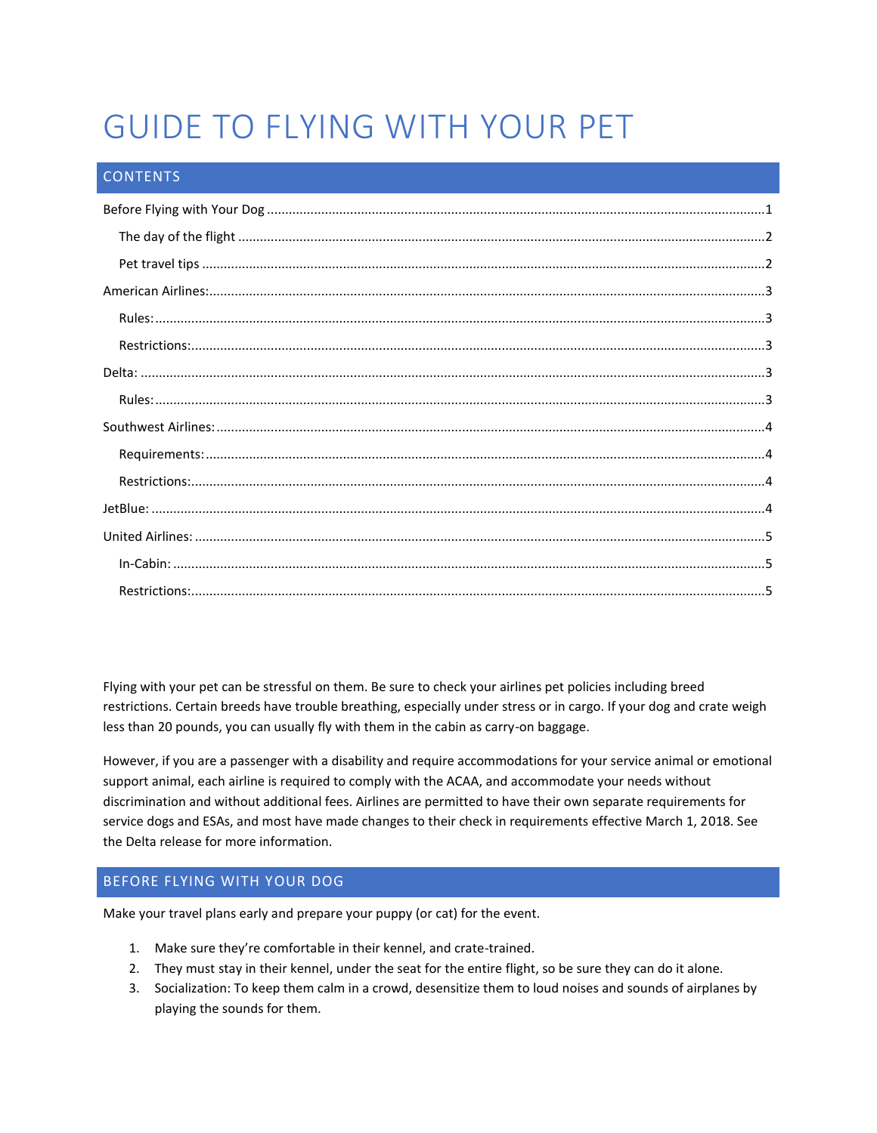# GUIDE TO FLYING WITH YOUR PET

# **CONTENTS**

Flying with your pet can be stressful on them. Be sure to check your airlines pet policies including breed restrictions. Certain breeds have trouble breathing, especially under stress or in cargo. If your dog and crate weigh less than 20 pounds, you can usually fly with them in the cabin as carry-on baggage.

However, if you are a passenger with a disability and require accommodations for your service animal or emotional support animal, each airline is required to comply with the ACAA, and accommodate your needs without discrimination and without additional fees. Airlines are permitted to have their own separate requirements for service dogs and ESAs, and most have made changes to their check in requirements effective March 1, 2018. See the Delta release for more information.

# <span id="page-0-0"></span>BEFORE FLYING WITH YOUR DOG

Make your travel plans early and prepare your puppy (or cat) for the event.

- 1. Make sure they're comfortable in their kennel, and crate-trained.
- 2. They must stay in their kennel, under the seat for the entire flight, so be sure they can do it alone.
- 3. Socialization: To keep them calm in a crowd, desensitize them to loud noises and sounds of airplanes by playing the sounds for them.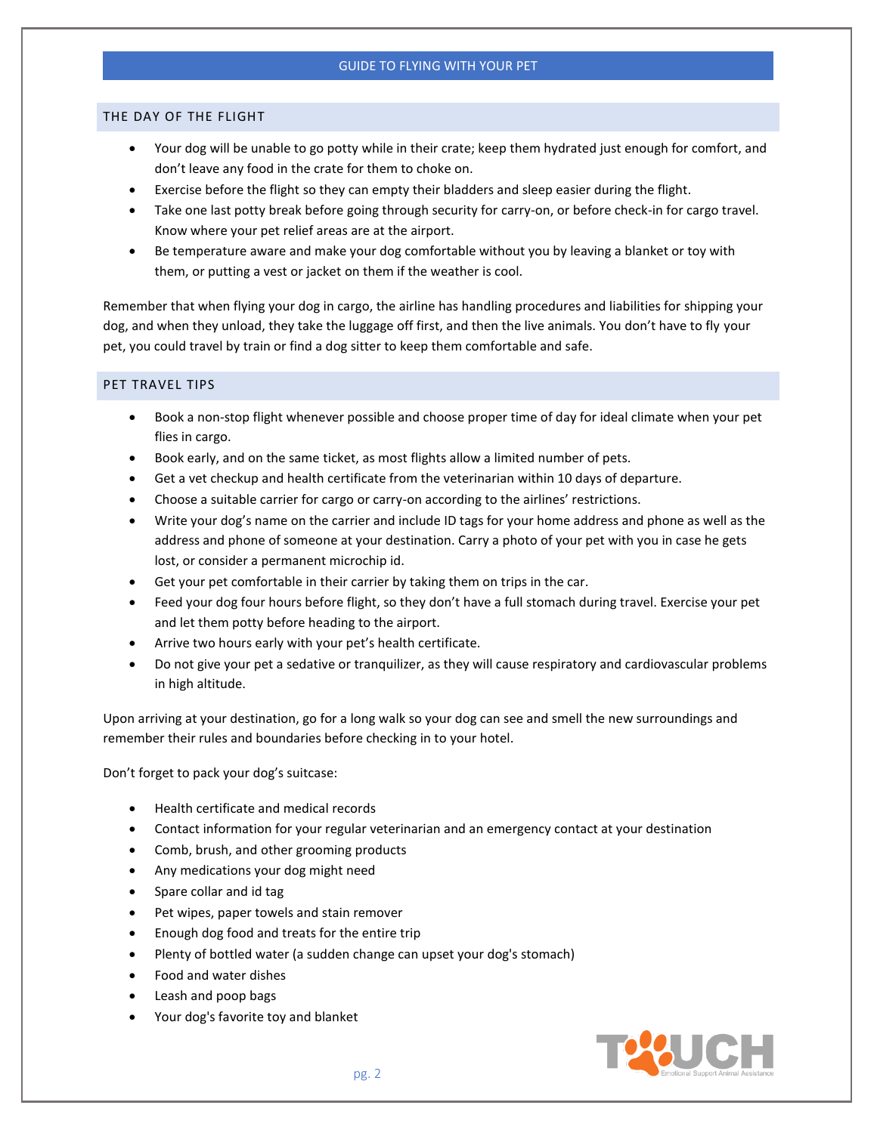## <span id="page-1-0"></span>THE DAY OF THE FLIGHT

- Your dog will be unable to go potty while in their crate; keep them hydrated just enough for comfort, and don't leave any food in the crate for them to choke on.
- Exercise before the flight so they can empty their bladders and sleep easier during the flight.
- Take one last potty break before going through security for carry-on, or before check-in for cargo travel. Know where your pet relief areas are at the airport.
- Be temperature aware and make your dog comfortable without you by leaving a blanket or toy with them, or putting a vest or jacket on them if the weather is cool.

Remember that when flying your dog in cargo, the airline has handling procedures and liabilities for shipping your dog, and when they unload, they take the luggage off first, and then the live animals. You don't have to fly your pet, you could travel by train or find a dog sitter to keep them comfortable and safe.

## <span id="page-1-1"></span>PET TRAVEL TIPS

- Book a non-stop flight whenever possible and choose proper time of day for ideal climate when your pet flies in cargo.
- Book early, and on the same ticket, as most flights allow a limited number of pets.
- Get a vet checkup and health certificate from the veterinarian within 10 days of departure.
- Choose a suitable carrier for cargo or carry-on according to the airlines' restrictions.
- Write your dog's name on the carrier and include ID tags for your home address and phone as well as the address and phone of someone at your destination. Carry a photo of your pet with you in case he gets lost, or consider a permanent microchip id.
- Get your pet comfortable in their carrier by taking them on trips in the car.
- Feed your dog four hours before flight, so they don't have a full stomach during travel. Exercise your pet and let them potty before heading to the airport.
- Arrive two hours early with your pet's health certificate.
- Do not give your pet a sedative or tranquilizer, as they will cause respiratory and cardiovascular problems in high altitude.

Upon arriving at your destination, go for a long walk so your dog can see and smell the new surroundings and remember their rules and boundaries before checking in to your hotel.

Don't forget to pack your dog's suitcase:

- Health certificate and medical records
- Contact information for your regular veterinarian and an emergency contact at your destination
- Comb, brush, and other grooming products
- Any medications your dog might need
- Spare collar and id tag
- Pet wipes, paper towels and stain remover
- Enough dog food and treats for the entire trip
- Plenty of bottled water (a sudden change can upset your dog's stomach)
- Food and water dishes
- Leash and poop bags
- Your dog's favorite toy and blanket

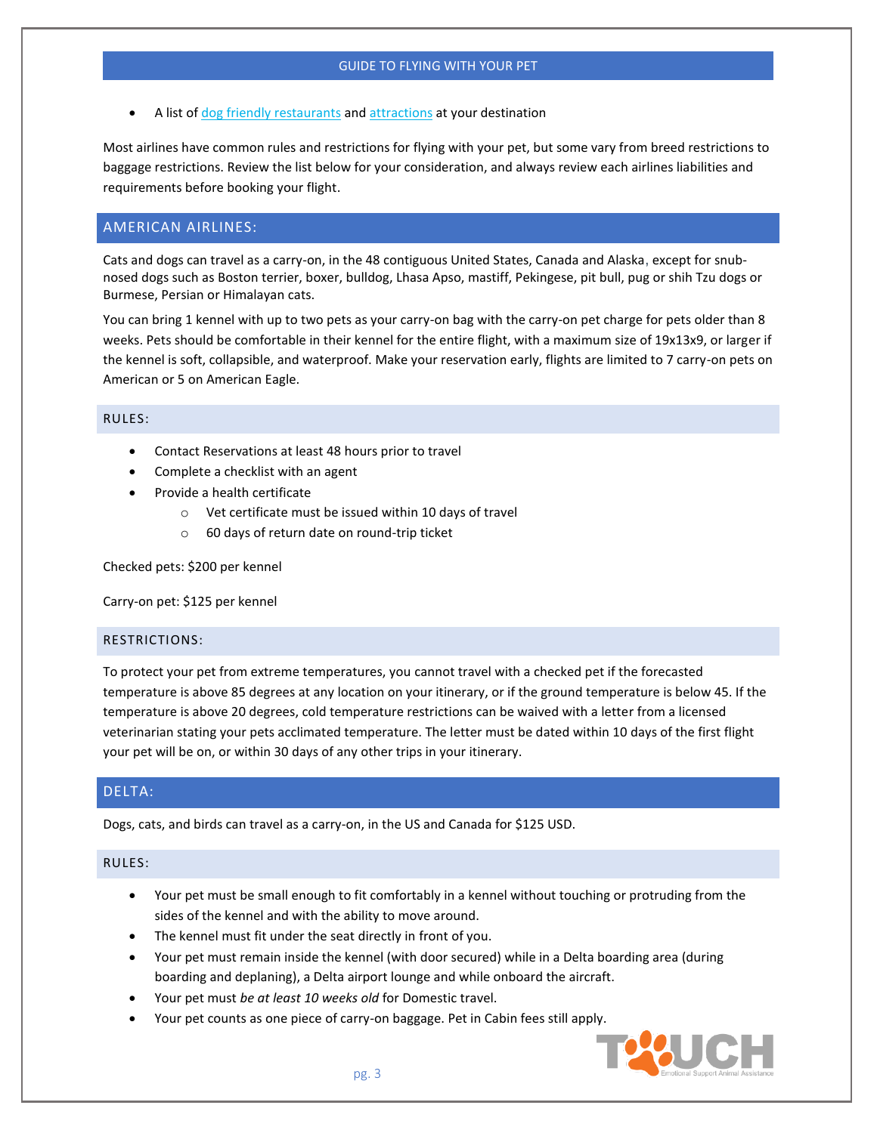A list of dog friendly [restaurants](https://www.bringfido.com/restaurant) and [attractions](https://www.bringfido.com/attraction) at your destination

Most airlines have common rules and restrictions for flying with your pet, but some vary from breed restrictions to baggage restrictions. Review the list below for your consideration, and always review each airlines liabilities and requirements before booking your flight.

# <span id="page-2-0"></span>AMERICAN AIRLINES:

Cats and dogs can travel as a carry-on, in the 48 contiguous United States, Canada and Alaska, except for snubnosed dogs such as Boston terrier, boxer, bulldog, Lhasa Apso, mastiff, Pekingese, pit bull, pug or shih Tzu dogs or Burmese, Persian or Himalayan cats.

You can bring 1 kennel with up to two pets as your carry-on bag with the carry-on pet charge for pets older than 8 weeks. Pets should be comfortable in their kennel for the entire flight, with a maximum size of 19x13x9, or larger if the kennel is soft, collapsible, and waterproof. Make your reservation early, flights are limited to 7 carry-on pets on American or 5 on American Eagle.

#### <span id="page-2-1"></span>RULES:

- Contact Reservations at least 48 hours prior to travel
- Complete a checklist with an agent
- Provide a health certificate
	- o Vet certificate must be issued within 10 days of travel
	- o 60 days of return date on round-trip ticket

Checked pets: \$200 per kennel

Carry-on pet: \$125 per kennel

#### <span id="page-2-2"></span>RESTRICTIONS:

To protect your pet from extreme temperatures, you cannot travel with a checked pet if the forecasted temperature is above 85 degrees at any location on your itinerary, or if the ground temperature is below 45. If the temperature is above 20 degrees, cold temperature restrictions can be waived with a letter from a licensed veterinarian stating your pets acclimated temperature. The letter must be dated within 10 days of the first flight your pet will be on, or within 30 days of any other trips in your itinerary.

# <span id="page-2-3"></span>DELTA:

Dogs, cats, and birds can travel as a carry-on, in the US and Canada for \$125 USD.

#### <span id="page-2-4"></span>RULES:

- Your pet must be small enough to fit comfortably in a kennel without touching or protruding from the sides of the kennel and with the ability to move around.
- The kennel must fit under the seat directly in front of you.
- Your pet must remain inside the kennel (with door secured) while in a Delta boarding area (during boarding and deplaning), a Delta airport lounge and while onboard the aircraft.
- Your pet must *be at least 10 weeks old* for Domestic travel.
- Your pet counts as one piece of carry-on baggage. Pet in Cabin fees still apply.

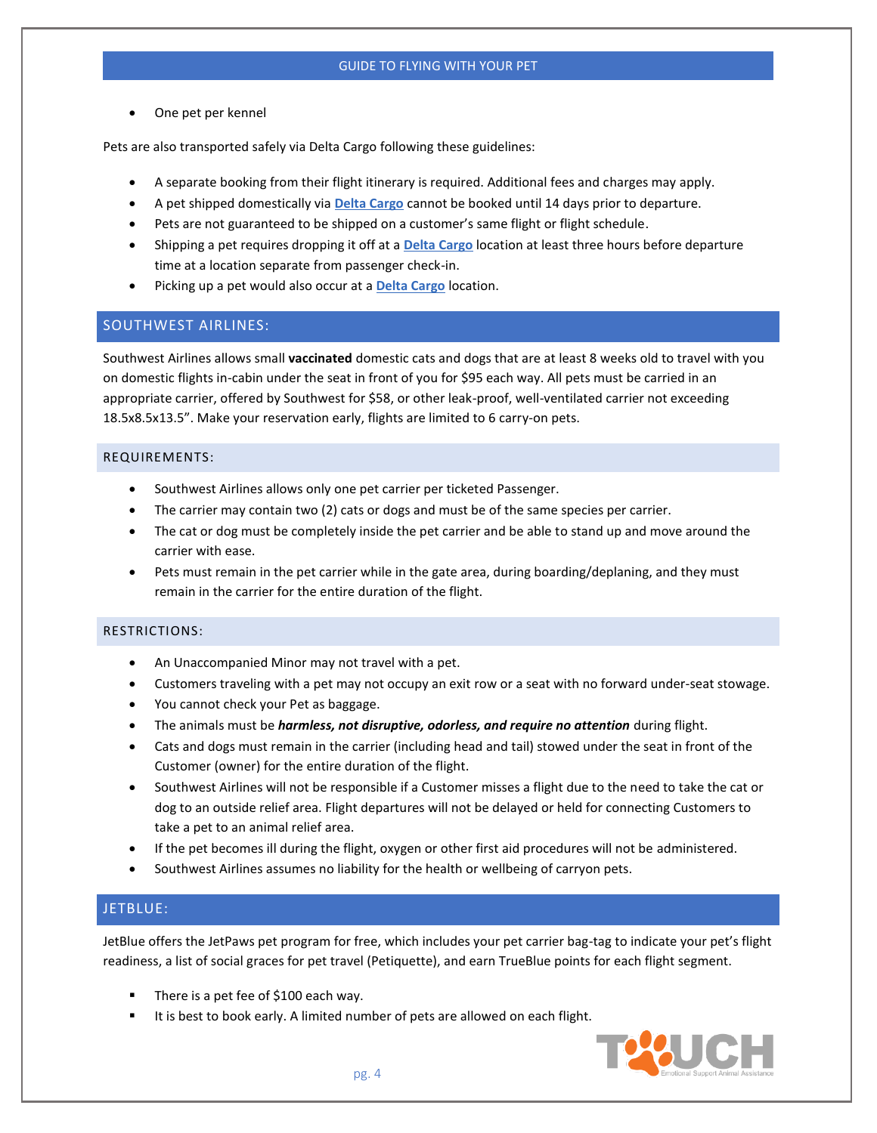• One pet per kennel

Pets are also transported safely via Delta Cargo following these guidelines:

- A separate booking from their flight itinerary is required. Additional fees and charges may apply.
- A pet shipped domestically via **Delta [Cargo](https://www.deltacargo.com/PetShipment.aspx)** cannot be booked until 14 days prior to departure.
- Pets are not guaranteed to be shipped on a customer's same flight or flight schedule.
- Shipping a pet requires dropping it off at a **Delta [Cargo](https://www.deltacargo.com/PetShipment.aspx)** location at least three hours before departure time at a location separate from passenger check-in.
- Picking up a pet would also occur at a **Delta [Cargo](https://www.deltacargo.com/PetShipment.aspx)** location.

# <span id="page-3-0"></span>SOUTHWEST AIRLINES:

Southwest Airlines allows small **vaccinated** domestic cats and dogs that are at least 8 weeks old to travel with you on domestic flights in-cabin under the seat in front of you for \$95 each way. All pets must be carried in an appropriate carrier, offered by Southwest for \$58, or other leak-proof, well-ventilated carrier not exceeding 18.5x8.5x13.5". Make your reservation early, flights are limited to 6 carry-on pets.

## <span id="page-3-1"></span>REQUIREMENTS:

- Southwest Airlines allows only one pet carrier per ticketed Passenger.
- The carrier may contain two (2) cats or dogs and must be of the same species per carrier.
- The cat or dog must be completely inside the pet carrier and be able to stand up and move around the carrier with ease.
- Pets must remain in the pet carrier while in the gate area, during boarding/deplaning, and they must remain in the carrier for the entire duration of the flight.

## <span id="page-3-2"></span>RESTRICTIONS:

- An Unaccompanied Minor may not travel with a pet.
- Customers traveling with a pet may not occupy an exit row or a seat with no forward under-seat stowage.
- You cannot check your Pet as baggage.
- The animals must be *harmless, not disruptive, odorless, and require no attention* during flight.
- Cats and dogs must remain in the carrier (including head and tail) stowed under the seat in front of the Customer (owner) for the entire duration of the flight.
- Southwest Airlines will not be responsible if a Customer misses a flight due to the need to take the cat or dog to an outside relief area. Flight departures will not be delayed or held for connecting Customers to take a pet to an animal relief area.
- If the pet becomes ill during the flight, oxygen or other first aid procedures will not be administered.
- Southwest Airlines assumes no liability for the health or wellbeing of carryon pets.

# <span id="page-3-3"></span>JETBLUE:

JetBlue offers the JetPaws pet program for free, which includes your pet carrier bag-tag to indicate your pet's flight readiness, a list of social graces for pet travel (Petiquette), and earn TrueBlue points for each flight segment.

- There is a pet fee of  $$100$  each way.
- It is best to book early. A limited number of pets are allowed on each flight.